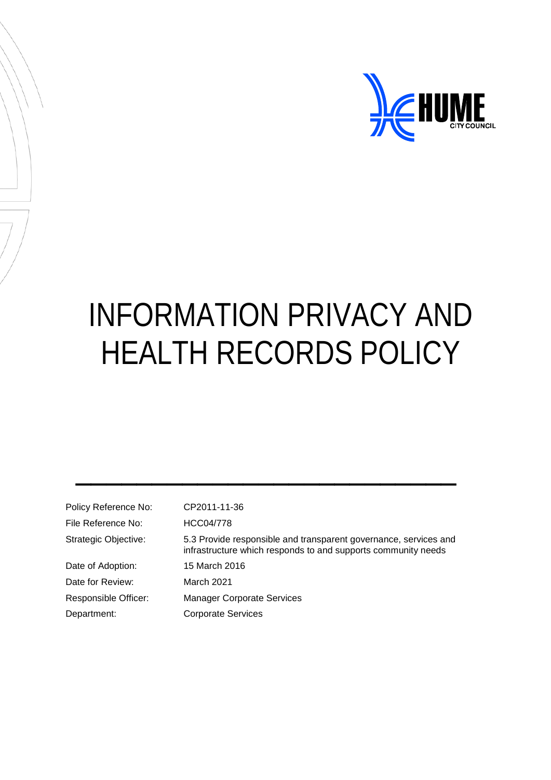

# INFORMATION PRIVACY AND HEALTH RECORDS POLICY

| Policy Reference No: | CP2011-11-36                                                                                                                      |
|----------------------|-----------------------------------------------------------------------------------------------------------------------------------|
| File Reference No:   | HCC04/778                                                                                                                         |
| Strategic Objective: | 5.3 Provide responsible and transparent governance, services and<br>infrastructure which responds to and supports community needs |
| Date of Adoption:    | 15 March 2016                                                                                                                     |
| Date for Review:     | March 2021                                                                                                                        |
| Responsible Officer: | <b>Manager Corporate Services</b>                                                                                                 |
| Department:          | <b>Corporate Services</b>                                                                                                         |
|                      |                                                                                                                                   |

 $\frac{1}{2}$  ,  $\frac{1}{2}$  ,  $\frac{1}{2}$  ,  $\frac{1}{2}$  ,  $\frac{1}{2}$  ,  $\frac{1}{2}$  ,  $\frac{1}{2}$  ,  $\frac{1}{2}$  ,  $\frac{1}{2}$  ,  $\frac{1}{2}$  ,  $\frac{1}{2}$  ,  $\frac{1}{2}$  ,  $\frac{1}{2}$  ,  $\frac{1}{2}$  ,  $\frac{1}{2}$  ,  $\frac{1}{2}$  ,  $\frac{1}{2}$  ,  $\frac{1}{2}$  ,  $\frac{1$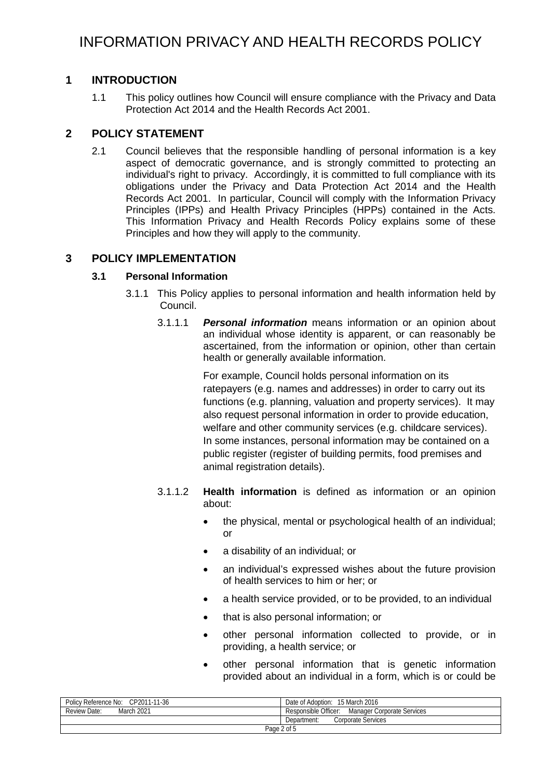# **1 INTRODUCTION**

1.1 This policy outlines how Council will ensure compliance with the Privacy and Data Protection Act 2014 and the Health Records Act 2001.

# **2 POLICY STATEMENT**

2.1 Council believes that the responsible handling of personal information is a key aspect of democratic governance, and is strongly committed to protecting an individual's right to privacy. Accordingly, it is committed to full compliance with its obligations under the Privacy and Data Protection Act 2014 and the Health Records Act 2001. In particular, Council will comply with the Information Privacy Principles (IPPs) and Health Privacy Principles (HPPs) contained in the Acts. This Information Privacy and Health Records Policy explains some of these Principles and how they will apply to the community.

# **3 POLICY IMPLEMENTATION**

# **3.1 Personal Information**

- 3.1.1 This Policy applies to personal information and health information held by Council.
	- 3.1.1.1 *Personal information* means information or an opinion about an individual whose identity is apparent, or can reasonably be ascertained, from the information or opinion, other than certain health or generally available information.

For example, Council holds personal information on its ratepayers (e.g. names and addresses) in order to carry out its functions (e.g. planning, valuation and property services). It may also request personal information in order to provide education, welfare and other community services (e.g. childcare services). In some instances, personal information may be contained on a public register (register of building permits, food premises and animal registration details).

- 3.1.1.2 **Health information** is defined as information or an opinion about:
	- the physical, mental or psychological health of an individual; or
	- a disability of an individual; or
	- an individual's expressed wishes about the future provision of health services to him or her; or
	- a health service provided, or to be provided, to an individual
	- that is also personal information; or
	- other personal information collected to provide, or in providing, a health service; or
	- other personal information that is genetic information provided about an individual in a form, which is or could be

| Policy Reference No: | Date of Adoption:                 |  |
|----------------------|-----------------------------------|--|
| CP2011-11-36         | 15 March 2016                     |  |
| Review Date:         | Responsible Officer:              |  |
| March 2021           | Manager Corporate Services        |  |
|                      | Corporate Services<br>Department: |  |
| Page 2 of 5          |                                   |  |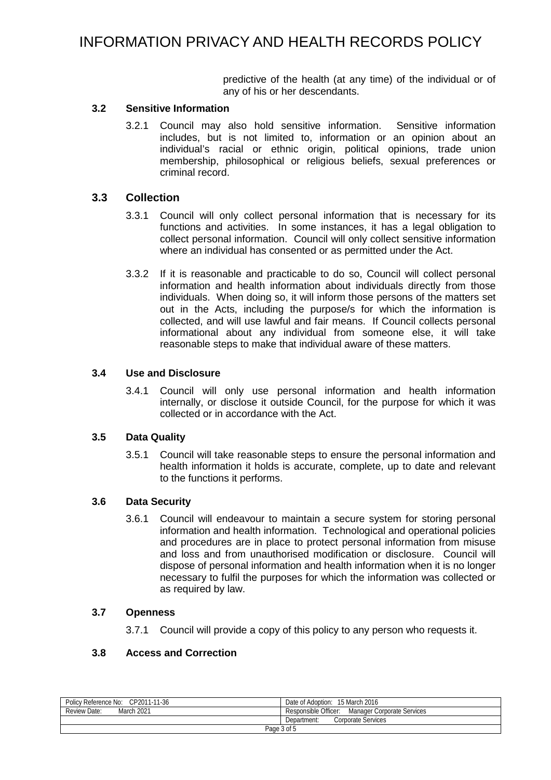predictive of the health (at any time) of the individual or of any of his or her descendants.

## **3.2 Sensitive Information**

3.2.1 Council may also hold sensitive information. Sensitive information includes, but is not limited to, information or an opinion about an individual's racial or ethnic origin, political opinions, trade union membership, philosophical or religious beliefs, sexual preferences or criminal record.

## **3.3 Collection**

- 3.3.1 Council will only collect personal information that is necessary for its functions and activities. In some instances, it has a legal obligation to collect personal information. Council will only collect sensitive information where an individual has consented or as permitted under the Act.
- 3.3.2 If it is reasonable and practicable to do so, Council will collect personal information and health information about individuals directly from those individuals. When doing so, it will inform those persons of the matters set out in the Acts, including the purpose/s for which the information is collected, and will use lawful and fair means. If Council collects personal informational about any individual from someone else, it will take reasonable steps to make that individual aware of these matters.

## **3.4 Use and Disclosure**

3.4.1 Council will only use personal information and health information internally, or disclose it outside Council, for the purpose for which it was collected or in accordance with the Act.

#### **3.5 Data Quality**

3.5.1 Council will take reasonable steps to ensure the personal information and health information it holds is accurate, complete, up to date and relevant to the functions it performs.

#### **3.6 Data Security**

3.6.1 Council will endeavour to maintain a secure system for storing personal information and health information. Technological and operational policies and procedures are in place to protect personal information from misuse and loss and from unauthorised modification or disclosure. Council will dispose of personal information and health information when it is no longer necessary to fulfil the purposes for which the information was collected or as required by law.

#### **3.7 Openness**

3.7.1 Council will provide a copy of this policy to any person who requests it.

# **3.8 Access and Correction**

| Policy Reference No: CP2011-11-36 | Date of Adoption:<br>15 March 2016                 |  |
|-----------------------------------|----------------------------------------------------|--|
| March 2021<br>Review Date:        | Responsible Officer:<br>Manager Corporate Services |  |
|                                   | Corporate Services<br>Department:                  |  |
| Page 3 of 5                       |                                                    |  |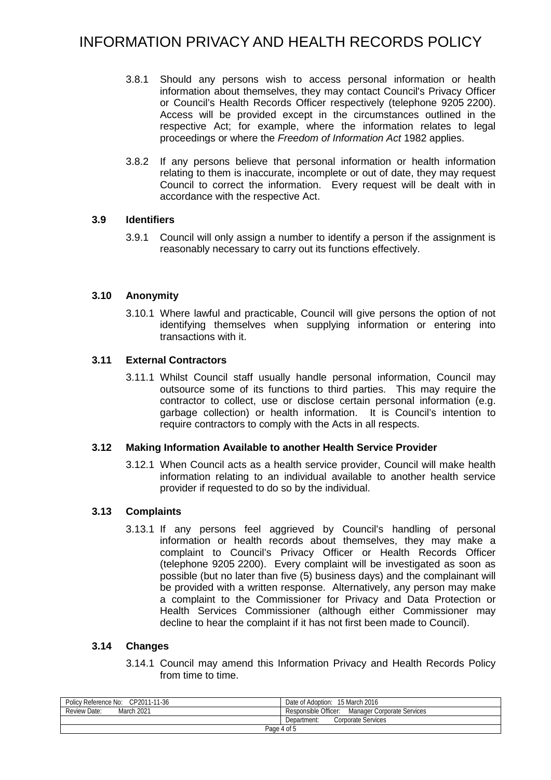- 3.8.1 Should any persons wish to access personal information or health information about themselves, they may contact Council's Privacy Officer or Council's Health Records Officer respectively (telephone 9205 2200). Access will be provided except in the circumstances outlined in the respective Act; for example, where the information relates to legal proceedings or where the *Freedom of Information Act* 1982 applies.
- 3.8.2 If any persons believe that personal information or health information relating to them is inaccurate, incomplete or out of date, they may request Council to correct the information. Every request will be dealt with in accordance with the respective Act.

# **3.9 Identifiers**

3.9.1 Council will only assign a number to identify a person if the assignment is reasonably necessary to carry out its functions effectively.

# **3.10 Anonymity**

3.10.1 Where lawful and practicable, Council will give persons the option of not identifying themselves when supplying information or entering into transactions with it.

# **3.11 External Contractors**

3.11.1 Whilst Council staff usually handle personal information, Council may outsource some of its functions to third parties. This may require the contractor to collect, use or disclose certain personal information (e.g. garbage collection) or health information. It is Council's intention to require contractors to comply with the Acts in all respects.

## **3.12 Making Information Available to another Health Service Provider**

3.12.1 When Council acts as a health service provider, Council will make health information relating to an individual available to another health service provider if requested to do so by the individual.

## **3.13 Complaints**

3.13.1 If any persons feel aggrieved by Council's handling of personal information or health records about themselves, they may make a complaint to Council's Privacy Officer or Health Records Officer (telephone 9205 2200). Every complaint will be investigated as soon as possible (but no later than five (5) business days) and the complainant will be provided with a written response. Alternatively, any person may make a complaint to the Commissioner for Privacy and Data Protection or Health Services Commissioner (although either Commissioner may decline to hear the complaint if it has not first been made to Council).

## **3.14 Changes**

3.14.1 Council may amend this Information Privacy and Health Records Policy from time to time.

| Policy Reference No: CP2011-11-36 | Date of Adoption: 15 March 2016                    |  |
|-----------------------------------|----------------------------------------------------|--|
| March 2021<br>Review Date:        | Responsible Officer:<br>Manager Corporate Services |  |
|                                   | Corporate Services<br>Department:                  |  |
| Page 4 of 5                       |                                                    |  |